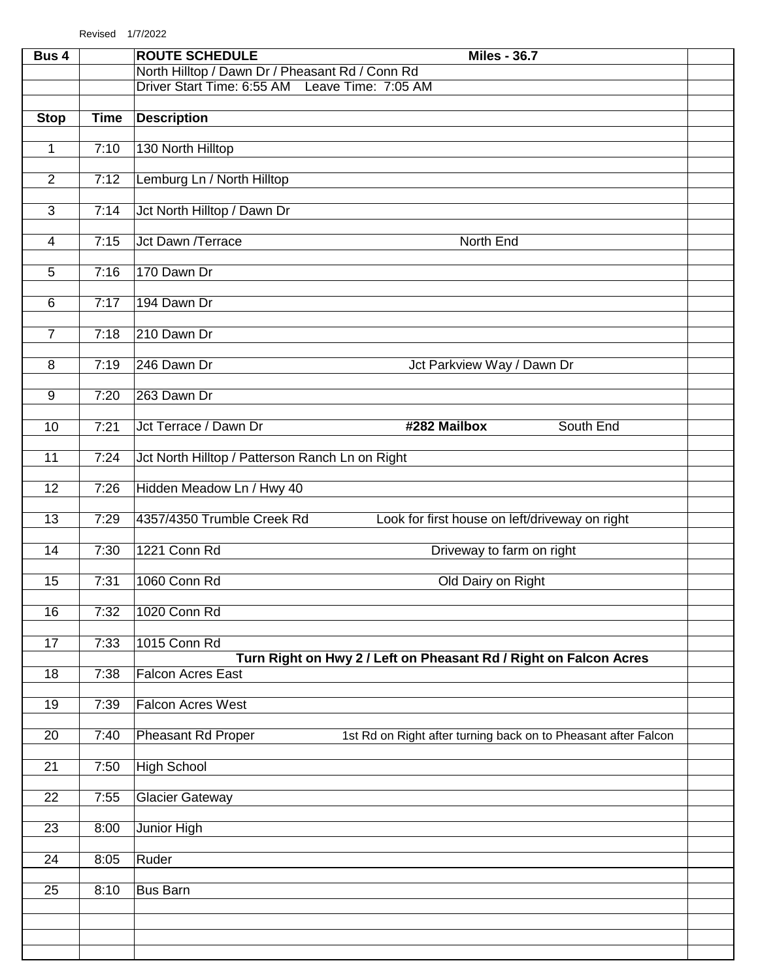| Bus 4           |             | <b>ROUTE SCHEDULE</b><br><b>Miles - 36.7</b>                                                         |  |
|-----------------|-------------|------------------------------------------------------------------------------------------------------|--|
|                 |             | North Hilltop / Dawn Dr / Pheasant Rd / Conn Rd<br>Driver Start Time: 6:55 AM<br>Leave Time: 7:05 AM |  |
|                 |             |                                                                                                      |  |
| <b>Stop</b>     | <b>Time</b> | <b>Description</b>                                                                                   |  |
| $\mathbf{1}$    | 7:10        | 130 North Hilltop                                                                                    |  |
|                 |             |                                                                                                      |  |
| 2               | 7:12        | Lemburg Ln / North Hilltop                                                                           |  |
| $\overline{3}$  | 7:14        | Jct North Hilltop / Dawn Dr                                                                          |  |
|                 |             |                                                                                                      |  |
| $\overline{4}$  | 7:15        | <b>Jct Dawn /Terrace</b><br>North End                                                                |  |
| $\overline{5}$  | 7:16        | 170 Dawn Dr                                                                                          |  |
| $6\phantom{a}$  | 7:17        | 194 Dawn Dr                                                                                          |  |
|                 |             |                                                                                                      |  |
| $\overline{7}$  | 7:18        | 210 Dawn Dr                                                                                          |  |
| $\overline{8}$  | 7:19        | 246 Dawn Dr<br>Jct Parkview Way / Dawn Dr                                                            |  |
|                 |             |                                                                                                      |  |
| 9               | 7:20        | 263 Dawn Dr                                                                                          |  |
| 10              | 7:21        | Jct Terrace / Dawn Dr<br>#282 Mailbox<br>South End                                                   |  |
|                 |             |                                                                                                      |  |
| 11              | 7:24        | Jct North Hilltop / Patterson Ranch Ln on Right                                                      |  |
| $\overline{12}$ | 7:26        | Hidden Meadow Ln / Hwy 40                                                                            |  |
| 13              | 7:29        | 4357/4350 Trumble Creek Rd<br>Look for first house on left/driveway on right                         |  |
|                 |             |                                                                                                      |  |
| 14              | 7:30        | 1221 Conn Rd<br>Driveway to farm on right                                                            |  |
| 15              | 7:31        | 1060 Conn Rd<br>Old Dairy on Right                                                                   |  |
|                 |             |                                                                                                      |  |
| 16              | 7:32        | 1020 Conn Rd                                                                                         |  |
| 17              | 7:33        | 1015 Conn Rd                                                                                         |  |
| 18              |             | Turn Right on Hwy 2 / Left on Pheasant Rd / Right on Falcon Acres<br><b>Falcon Acres East</b>        |  |
|                 | 7:38        |                                                                                                      |  |
| 19              | 7:39        | <b>Falcon Acres West</b>                                                                             |  |
| 20              | 7:40        | <b>Pheasant Rd Proper</b><br>1st Rd on Right after turning back on to Pheasant after Falcon          |  |
|                 |             |                                                                                                      |  |
| 21              | 7:50        | <b>High School</b>                                                                                   |  |
| 22              | 7:55        | <b>Glacier Gateway</b>                                                                               |  |
|                 |             |                                                                                                      |  |
| 23              | 8:00        | Junior High                                                                                          |  |
| $\overline{24}$ | 8:05        | Ruder                                                                                                |  |
| 25              | 8:10        | <b>Bus Barn</b>                                                                                      |  |
|                 |             |                                                                                                      |  |
|                 |             |                                                                                                      |  |
|                 |             |                                                                                                      |  |